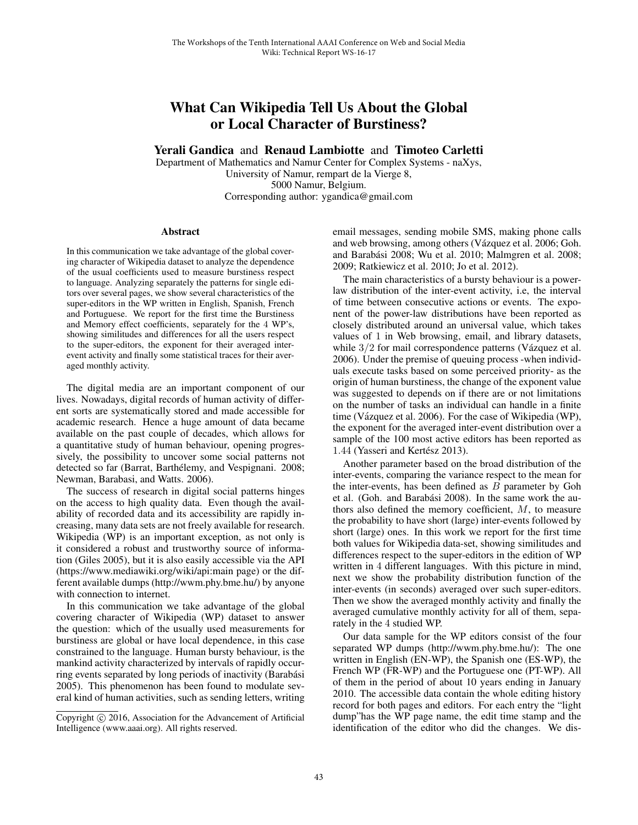## What Can Wikipedia Tell Us About the Global or Local Character of Burstiness?

Yerali Gandica and Renaud Lambiotte and Timoteo Carletti

Department of Mathematics and Namur Center for Complex Systems - naXys, University of Namur, rempart de la Vierge 8, 5000 Namur, Belgium. Corresponding author: ygandica@gmail.com

## Abstract

In this communication we take advantage of the global covering character of Wikipedia dataset to analyze the dependence of the usual coefficients used to measure burstiness respect to language. Analyzing separately the patterns for single editors over several pages, we show several characteristics of the super-editors in the WP written in English, Spanish, French and Portuguese. We report for the first time the Burstiness and Memory effect coefficients, separately for the 4 WP's, showing similitudes and differences for all the users respect to the super-editors, the exponent for their averaged interevent activity and finally some statistical traces for their averaged monthly activity.

The digital media are an important component of our lives. Nowadays, digital records of human activity of different sorts are systematically stored and made accessible for academic research. Hence a huge amount of data became available on the past couple of decades, which allows for a quantitative study of human behaviour, opening progressively, the possibility to uncover some social patterns not detected so far (Barrat, Barthélemy, and Vespignani. 2008; Newman, Barabasi, and Watts. 2006).

The success of research in digital social patterns hinges on the access to high quality data. Even though the availability of recorded data and its accessibility are rapidly increasing, many data sets are not freely available for research. Wikipedia (WP) is an important exception, as not only is it considered a robust and trustworthy source of information (Giles 2005), but it is also easily accessible via the API (https://www.mediawiki.org/wiki/api:main page) or the different available dumps (http://wwm.phy.bme.hu/) by anyone with connection to internet.

In this communication we take advantage of the global covering character of Wikipedia (WP) dataset to answer the question: which of the usually used measurements for burstiness are global or have local dependence, in this case constrained to the language. Human bursty behaviour, is the mankind activity characterized by intervals of rapidly occurring events separated by long periods of inactivity (Barabási 2005). This phenomenon has been found to modulate several kind of human activities, such as sending letters, writing email messages, sending mobile SMS, making phone calls and web browsing, among others (Vázquez et al. 2006; Goh. and Barabási 2008; Wu et al. 2010; Malmgren et al. 2008; 2009; Ratkiewicz et al. 2010; Jo et al. 2012).

The main characteristics of a bursty behaviour is a powerlaw distribution of the inter-event activity, i.e, the interval of time between consecutive actions or events. The exponent of the power-law distributions have been reported as closely distributed around an universal value, which takes values of 1 in Web browsing, email, and library datasets, while  $3/2$  for mail correspondence patterns (Vázquez et al. 2006). Under the premise of queuing process -when individuals execute tasks based on some perceived priority- as the origin of human burstiness, the change of the exponent value was suggested to depends on if there are or not limitations on the number of tasks an individual can handle in a finite time (Vázquez et al. 2006). For the case of Wikipedia (WP), the exponent for the averaged inter-event distribution over a sample of the 100 most active editors has been reported as 1.44 (Yasseri and Kertész 2013).

Another parameter based on the broad distribution of the inter-events, comparing the variance respect to the mean for the inter-events, has been defined as  $B$  parameter by Goh et al. (Goh. and Barabási 2008). In the same work the authors also defined the memory coefficient, M, to measure the probability to have short (large) inter-events followed by short (large) ones. In this work we report for the first time both values for Wikipedia data-set, showing similitudes and differences respect to the super-editors in the edition of WP written in 4 different languages. With this picture in mind, next we show the probability distribution function of the inter-events (in seconds) averaged over such super-editors. Then we show the averaged monthly activity and finally the averaged cumulative monthly activity for all of them, separately in the 4 studied WP.

Our data sample for the WP editors consist of the four separated WP dumps (http://wwm.phy.bme.hu/): The one written in English (EN-WP), the Spanish one (ES-WP), the French WP (FR-WP) and the Portuguese one (PT-WP). All of them in the period of about 10 years ending in January 2010. The accessible data contain the whole editing history record for both pages and editors. For each entry the "light dump"has the WP page name, the edit time stamp and the identification of the editor who did the changes. We dis-

Copyright  $\odot$  2016, Association for the Advancement of Artificial Intelligence (www.aaai.org). All rights reserved.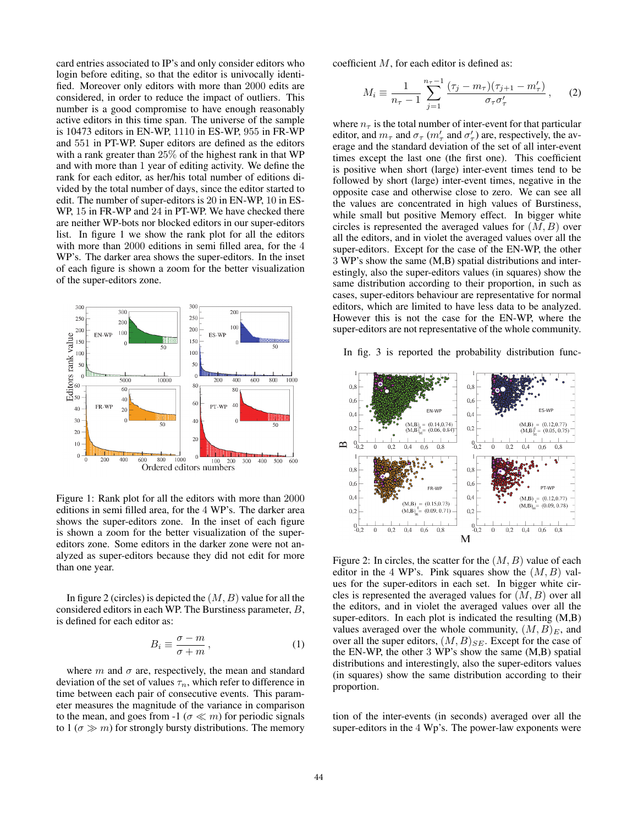card entries associated to IP's and only consider editors who login before editing, so that the editor is univocally identified. Moreover only editors with more than 2000 edits are considered, in order to reduce the impact of outliers. This number is a good compromise to have enough reasonably active editors in this time span. The universe of the sample is 10473 editors in EN-WP, 1110 in ES-WP, 955 in FR-WP and 551 in PT-WP. Super editors are defined as the editors with a rank greater than 25% of the highest rank in that WP and with more than 1 year of editing activity. We define the rank for each editor, as her/his total number of editions divided by the total number of days, since the editor started to edit. The number of super-editors is 20 in EN-WP, 10 in ES-WP, 15 in FR-WP and 24 in PT-WP. We have checked there are neither WP-bots nor blocked editors in our super-editors list. In figure 1 we show the rank plot for all the editors with more than 2000 editions in semi filled area, for the 4 WP's. The darker area shows the super-editors. In the inset of each figure is shown a zoom for the better visualization of the super-editors zone.



Figure 1: Rank plot for all the editors with more than 2000 editions in semi filled area, for the 4 WP's. The darker area shows the super-editors zone. In the inset of each figure is shown a zoom for the better visualization of the supereditors zone. Some editors in the darker zone were not analyzed as super-editors because they did not edit for more than one year.

In figure 2 (circles) is depicted the  $(M, B)$  value for all the considered editors in each WP. The Burstiness parameter, B, is defined for each editor as:

$$
B_i \equiv \frac{\sigma - m}{\sigma + m},\tag{1}
$$

where  $m$  and  $\sigma$  are, respectively, the mean and standard deviation of the set of values  $\tau_n$ , which refer to difference in time between each pair of consecutive events. This parameter measures the magnitude of the variance in comparison to the mean, and goes from -1 ( $\sigma \ll m$ ) for periodic signals to 1 ( $\sigma \gg m$ ) for strongly bursty distributions. The memory

coefficient M, for each editor is defined as:

$$
M_i \equiv \frac{1}{n_{\tau} - 1} \sum_{j=1}^{n_{\tau} - 1} \frac{(\tau_j - m_{\tau})(\tau_{j+1} - m'_{\tau})}{\sigma_{\tau} \sigma'_{\tau}}, \quad (2)
$$

where  $n_{\tau}$  is the total number of inter-event for that particular editor, and  $m_{\tau}$  and  $\sigma_{\tau}$  ( $m'_{\tau}$  and  $\sigma'_{\tau}$ ) are, respectively, the average and the standard deviation of the set of all inter-event times except the last one (the first one). This coefficient is positive when short (large) inter-event times tend to be followed by short (large) inter-event times, negative in the opposite case and otherwise close to zero. We can see all the values are concentrated in high values of Burstiness, while small but positive Memory effect. In bigger white circles is represented the averaged values for  $(M, B)$  over all the editors, and in violet the averaged values over all the super-editors. Except for the case of the EN-WP, the other 3 WP's show the same (M,B) spatial distributions and interestingly, also the super-editors values (in squares) show the same distribution according to their proportion, in such as cases, super-editors behaviour are representative for normal editors, which are limited to have less data to be analyzed. However this is not the case for the EN-WP, where the super-editors are not representative of the whole community.

In fig. 3 is reported the probability distribution func-



Figure 2: In circles, the scatter for the  $(M, B)$  value of each editor in the 4 WP's. Pink squares show the  $(M, B)$  values for the super-editors in each set. In bigger white circles is represented the averaged values for  $(M, B)$  over all the editors, and in violet the averaged values over all the super-editors. In each plot is indicated the resulting (M,B) values averaged over the whole community,  $(M, B)_E$ , and over all the super editors,  $(M, B)_{SE}$ . Except for the case of the EN-WP, the other 3 WP's show the same (M,B) spatial distributions and interestingly, also the super-editors values (in squares) show the same distribution according to their proportion.

tion of the inter-events (in seconds) averaged over all the super-editors in the 4 Wp's. The power-law exponents were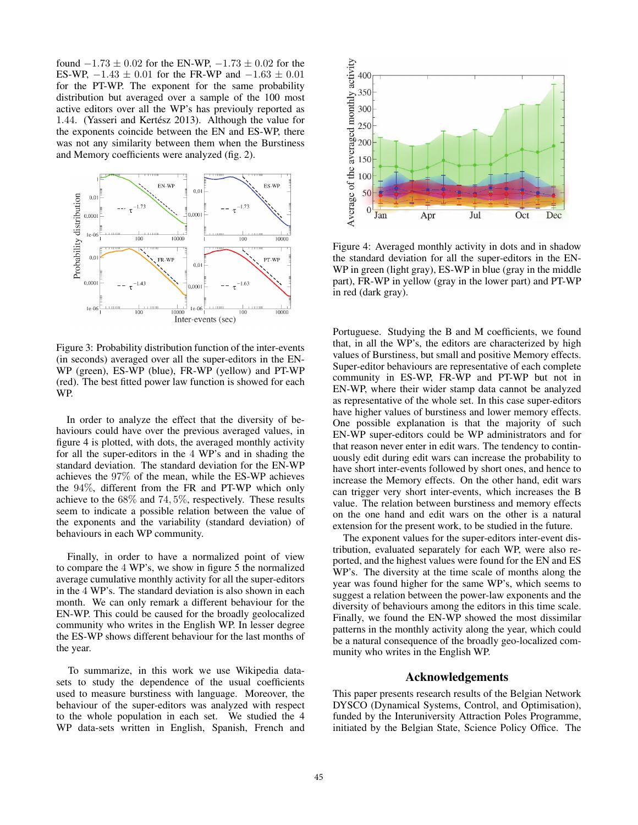found  $-1.73 \pm 0.02$  for the EN-WP,  $-1.73 \pm 0.02$  for the ES-WP,  $-1.43 \pm 0.01$  for the FR-WP and  $-1.63 \pm 0.01$ for the PT-WP. The exponent for the same probability distribution but averaged over a sample of the 100 most active editors over all the WP's has previouly reported as 1.44. (Yasseri and Kertész 2013). Although the value for the exponents coincide between the EN and ES-WP, there was not any similarity between them when the Burstiness and Memory coefficients were analyzed (fig. 2).



Figure 3: Probability distribution function of the inter-events (in seconds) averaged over all the super-editors in the EN-WP (green), ES-WP (blue), FR-WP (yellow) and PT-WP (red). The best fitted power law function is showed for each WP.

In order to analyze the effect that the diversity of behaviours could have over the previous averaged values, in figure 4 is plotted, with dots, the averaged monthly activity for all the super-editors in the 4 WP's and in shading the standard deviation. The standard deviation for the EN-WP achieves the 97% of the mean, while the ES-WP achieves the 94%, different from the FR and PT-WP which only achieve to the 68% and 74, 5%, respectively. These results seem to indicate a possible relation between the value of the exponents and the variability (standard deviation) of behaviours in each WP community.

Finally, in order to have a normalized point of view to compare the 4 WP's, we show in figure 5 the normalized average cumulative monthly activity for all the super-editors in the 4 WP's. The standard deviation is also shown in each month. We can only remark a different behaviour for the EN-WP. This could be caused for the broadly geolocalized community who writes in the English WP. In lesser degree the ES-WP shows different behaviour for the last months of the year.

To summarize, in this work we use Wikipedia datasets to study the dependence of the usual coefficients used to measure burstiness with language. Moreover, the behaviour of the super-editors was analyzed with respect to the whole population in each set. We studied the 4 WP data-sets written in English, Spanish, French and



Figure 4: Averaged monthly activity in dots and in shadow the standard deviation for all the super-editors in the EN-WP in green (light gray), ES-WP in blue (gray in the middle part), FR-WP in yellow (gray in the lower part) and PT-WP in red (dark gray).

Portuguese. Studying the B and M coefficients, we found that, in all the WP's, the editors are characterized by high values of Burstiness, but small and positive Memory effects. Super-editor behaviours are representative of each complete community in ES-WP, FR-WP and PT-WP but not in EN-WP, where their wider stamp data cannot be analyzed as representative of the whole set. In this case super-editors have higher values of burstiness and lower memory effects. One possible explanation is that the majority of such EN-WP super-editors could be WP administrators and for that reason never enter in edit wars. The tendency to continuously edit during edit wars can increase the probability to have short inter-events followed by short ones, and hence to increase the Memory effects. On the other hand, edit wars can trigger very short inter-events, which increases the B value. The relation between burstiness and memory effects on the one hand and edit wars on the other is a natural extension for the present work, to be studied in the future.

The exponent values for the super-editors inter-event distribution, evaluated separately for each WP, were also reported, and the highest values were found for the EN and ES WP's. The diversity at the time scale of months along the year was found higher for the same WP's, which seems to suggest a relation between the power-law exponents and the diversity of behaviours among the editors in this time scale. Finally, we found the EN-WP showed the most dissimilar patterns in the monthly activity along the year, which could be a natural consequence of the broadly geo-localized community who writes in the English WP.

## Acknowledgements

This paper presents research results of the Belgian Network DYSCO (Dynamical Systems, Control, and Optimisation), funded by the Interuniversity Attraction Poles Programme, initiated by the Belgian State, Science Policy Office. The